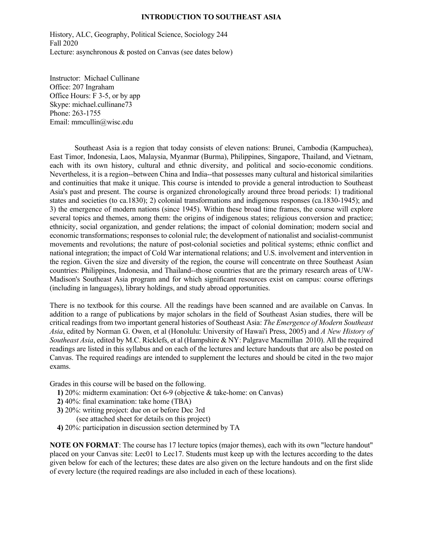#### **INTRODUCTION TO SOUTHEAST ASIA**

History, ALC, Geography, Political Science, Sociology 244 Fall 2020 Lecture: asynchronous & posted on Canvas (see dates below)

Instructor: Michael Cullinane Office: 207 Ingraham Office Hours: F 3-5, or by app Skype: michael.cullinane73 Phone: 263-1755 Email: mmcullin@wisc.edu

 Southeast Asia is a region that today consists of eleven nations: Brunei, Cambodia (Kampuchea), East Timor, Indonesia, Laos, Malaysia, Myanmar (Burma), Philippines, Singapore, Thailand, and Vietnam, each with its own history, cultural and ethnic diversity, and political and socio-economic conditions. Nevertheless, it is a region--between China and India--that possesses many cultural and historical similarities and continuities that make it unique. This course is intended to provide a general introduction to Southeast Asia's past and present. The course is organized chronologically around three broad periods: 1) traditional states and societies (to ca.1830); 2) colonial transformations and indigenous responses (ca.1830-1945); and 3) the emergence of modern nations (since 1945). Within these broad time frames, the course will explore several topics and themes, among them: the origins of indigenous states; religious conversion and practice; ethnicity, social organization, and gender relations; the impact of colonial domination; modern social and economic transformations; responses to colonial rule; the development of nationalist and socialist-communist movements and revolutions; the nature of post-colonial societies and political systems; ethnic conflict and national integration; the impact of Cold War international relations; and U.S. involvement and intervention in the region. Given the size and diversity of the region, the course will concentrate on three Southeast Asian countries: Philippines, Indonesia, and Thailand--those countries that are the primary research areas of UW-Madison's Southeast Asia program and for which significant resources exist on campus: course offerings (including in languages), library holdings, and study abroad opportunities.

There is no textbook for this course. All the readings have been scanned and are available on Canvas. In addition to a range of publications by major scholars in the field of Southeast Asian studies, there will be critical readings from two important general histories of Southeast Asia: *The Emergence of Modern Southeast Asia*, edited by Norman G. Owen, et al (Honolulu: University of Hawai'i Press, 2005) and *A New History of Southeast Asia*, edited by M.C. Ricklefs, et al (Hampshire & NY: Palgrave Macmillan 2010). All the required readings are listed in this syllabus and on each of the lectures and lecture handouts that are also be posted on Canvas. The required readings are intended to supplement the lectures and should be cited in the two major exams.

Grades in this course will be based on the following.

- **1)** 20%: midterm examination: Oct 6-9 (objective & take-home: on Canvas)
- **2)** 40%: final examination: take home (TBA)
- **3)** 20%: writing project: due on or before Dec 3rd
	- (see attached sheet for details on this project)
- **4)** 20%: participation in discussion section determined by TA

**NOTE ON FORMAT**: The course has 17 lecture topics (major themes), each with its own "lecture handout" placed on your Canvas site: Lec01 to Lec17. Students must keep up with the lectures according to the dates given below for each of the lectures; these dates are also given on the lecture handouts and on the first slide of every lecture (the required readings are also included in each of these locations).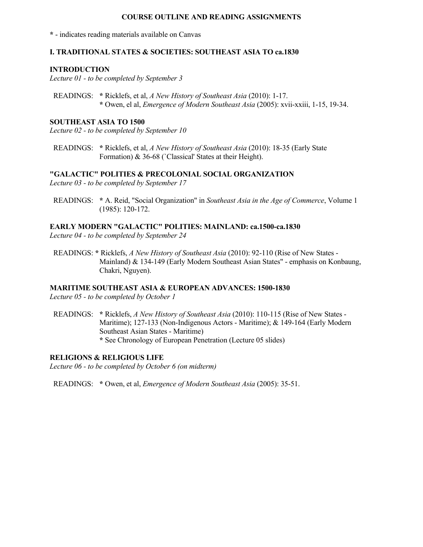### **COURSE OUTLINE AND READING ASSIGNMENTS**

**\*** - indicates reading materials available on Canvas

## **I. TRADITIONAL STATES & SOCIETIES: SOUTHEAST ASIA TO ca.1830**

#### **INTRODUCTION**

*Lecture 01 - to be completed by September 3*

 READINGS: **\*** Ricklefs, et al, *A New History of Southeast Asia* (2010): 1-17.  **\*** Owen, el al, *Emergence of Modern Southeast Asia* (2005): xvii-xxiii, 1-15, 19-34.

## **SOUTHEAST ASIA TO 1500**

*Lecture 02 - to be completed by September 10*

 READINGS: **\*** Ricklefs, et al, *A New History of Southeast Asia* (2010): 18-35 (Early State Formation) & 36-68 (`Classical' States at their Height).

## **"GALACTIC" POLITIES & PRECOLONIAL SOCIAL ORGANIZATION**

*Lecture 03 - to be completed by September 17*

 READINGS: **\*** A. Reid, "Social Organization" in *Southeast Asia in the Age of Commerce*, Volume 1 (1985): 120-172.

# **EARLY MODERN "GALACTIC" POLITIES: MAINLAND: ca.1500-ca.1830**

*Lecture 04 - to be completed by September 24*

 READINGS: **\*** Ricklefs, *A New History of Southeast Asia* (2010): 92-110 (Rise of New States - Mainland) & 134-149 (Early Modern Southeast Asian States" - emphasis on Konbaung, Chakri, Nguyen).

# **MARITIME SOUTHEAST ASIA & EUROPEAN ADVANCES: 1500-1830**

*Lecture 05 - to be completed by October 1*

 READINGS: **\*** Ricklefs, *A New History of Southeast Asia* (2010): 110-115 (Rise of New States - Maritime); 127-133 (Non-Indigenous Actors - Maritime); & 149-164 (Early Modern Southeast Asian States - Maritime)  **\*** See Chronology of European Penetration (Lecture 05 slides)

## **RELIGIONS & RELIGIOUS LIFE**

*Lecture 06 - to be completed by October 6 (on midterm)*

READINGS: **\*** Owen, et al, *Emergence of Modern Southeast Asia* (2005): 35-51.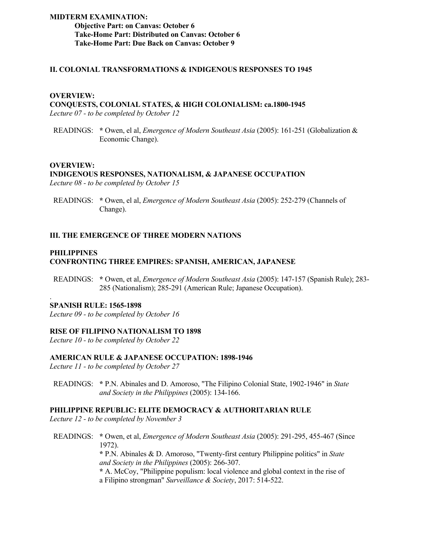## **MIDTERM EXAMINATION: Objective Part: on Canvas: October 6 Take-Home Part: Distributed on Canvas: October 6 Take-Home Part: Due Back on Canvas: October 9**

# **II. COLONIAL TRANSFORMATIONS & INDIGENOUS RESPONSES TO 1945**

#### **OVERVIEW:**

# **CONQUESTS, COLONIAL STATES, & HIGH COLONIALISM: ca.1800-1945**

*Lecture 07 - to be completed by October 12*

 READINGS: **\*** Owen, el al, *Emergence of Modern Southeast Asia* (2005): 161-251 (Globalization & Economic Change).

#### **OVERVIEW:**

#### **INDIGENOUS RESPONSES, NATIONALISM, & JAPANESE OCCUPATION** *Lecture 08 - to be completed by October 15*

 READINGS: **\*** Owen, el al, *Emergence of Modern Southeast Asia* (2005): 252-279 (Channels of Change).

# **III. THE EMERGENCE OF THREE MODERN NATIONS**

## **PHILIPPINES CONFRONTING THREE EMPIRES: SPANISH, AMERICAN, JAPANESE**

 READINGS: **\*** Owen, et al, *Emergence of Modern Southeast Asia* (2005): 147-157 (Spanish Rule); 283- 285 (Nationalism); 285-291 (American Rule; Japanese Occupation).

#### **SPANISH RULE: 1565-1898**

.

*Lecture 09 - to be completed by October 16*

#### **RISE OF FILIPINO NATIONALISM TO 1898**

*Lecture 10 - to be completed by October 22*

# **AMERICAN RULE & JAPANESE OCCUPATION: 1898-1946**

*Lecture 11 - to be completed by October 27*

 READINGS: **\*** P.N. Abinales and D. Amoroso, "The Filipino Colonial State, 1902-1946" in *State and Society in the Philippines* (2005): 134-166.

#### **PHILIPPINE REPUBLIC: ELITE DEMOCRACY & AUTHORITARIAN RULE**

*Lecture 12 - to be completed by November 3*

 READINGS: **\*** Owen, et al, *Emergence of Modern Southeast Asia* (2005): 291-295, 455-467 (Since 1972).

> **\*** P.N. Abinales & D. Amoroso, "Twenty-first century Philippine politics" in *State and Society in the Philippines* (2005): 266-307.

> **\*** A. McCoy, "Philippine populism: local violence and global context in the rise of a Filipino strongman" *Surveillance & Society*, 2017: 514-522.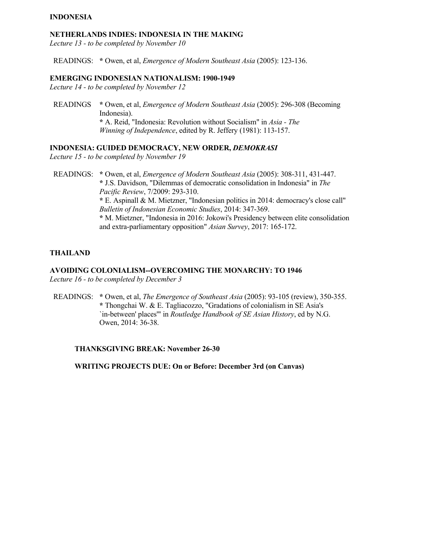# **INDONESIA**

#### **NETHERLANDS INDIES: INDONESIA IN THE MAKING**

*Lecture 13 - to be completed by November 10*

READINGS: **\*** Owen, et al, *Emergence of Modern Southeast Asia* (2005): 123-136.

#### **EMERGING INDONESIAN NATIONALISM: 1900-1949**

*Lecture 14 - to be completed by November 12*

 READINGS **\*** Owen, et al, *Emergence of Modern Southeast Asia* (2005): 296-308 (Becoming Indonesia).  **\*** A. Reid, "Indonesia: Revolution without Socialism" in *Asia - The Winning of Independence*, edited by R. Jeffery (1981): 113-157.

# **INDONESIA: GUIDED DEMOCRACY, NEW ORDER,** *DEMOKRASI*

*Lecture 15 - to be completed by November 19*

 READINGS: **\*** Owen, et al, *Emergence of Modern Southeast Asia* (2005): 308-311, 431-447.  **\*** J.S. Davidson, "Dilemmas of democratic consolidation in Indonesia" in *The Pacific Review*, 7/2009: 293-310.  **\*** E. Aspinall & M. Mietzner, "Indonesian politics in 2014: democracy's close call"  *Bulletin of Indonesian Economic Studies*, 2014: 347-369.  **\*** M. Mietzner, "Indonesia in 2016: Jokowi's Presidency between elite consolidation and extra-parliamentary opposition" *Asian Survey*, 2017: 165-172.

#### **THAILAND**

## **AVOIDING COLONIALISM--OVERCOMING THE MONARCHY: TO 1946**

*Lecture 16 - to be completed by December 3*

 READINGS: **\*** Owen, et al, *The Emergence of Southeast Asia* (2005): 93-105 (review), 350-355.  **\*** Thongchai W. & E. Tagliacozzo, "Gradations of colonialism in SE Asia's `in-between' places'" in *Routledge Handbook of SE Asian History*, ed by N.G. Owen, 2014: 36-38.

## **THANKSGIVING BREAK: November 26-30**

 **WRITING PROJECTS DUE: On or Before: December 3rd (on Canvas)**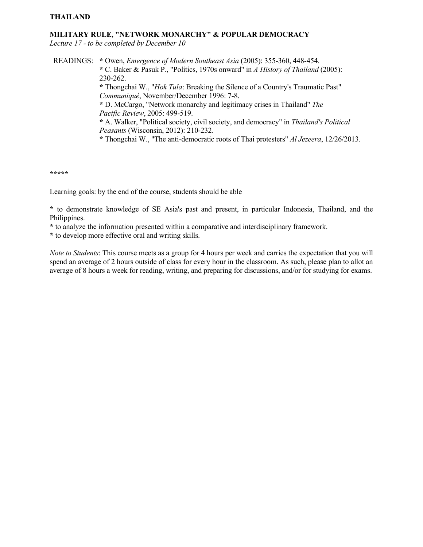# **THAILAND**

#### **MILITARY RULE, "NETWORK MONARCHY" & POPULAR DEMOCRACY**

*Lecture 17 - to be completed by December 10*

 READINGS: **\*** Owen, *Emergence of Modern Southeast Asia* (2005): 355-360, 448-454.  **\*** C. Baker & Pasuk P., "Politics, 1970s onward" in *A History of Thailand* (2005): 230-262.  **\*** Thongchai W., "*Hok Tula*: Breaking the Silence of a Country's Traumatic Past"  *Communiqué*, November/December 1996: 7-8.  **\*** D. McCargo, "Network monarchy and legitimacy crises in Thailand" *The Pacific Review*, 2005: 499-519.  **\*** A. Walker, "Political society, civil society, and democracy" in *Thailand's Political Peasants* (Wisconsin, 2012): 210-232.  **\*** Thongchai W., "The anti-democratic roots of Thai protesters" *Al Jezeera*, 12/26/2013.

**\*\*\*\*\***

Learning goals: by the end of the course, students should be able

**\*** to demonstrate knowledge of SE Asia's past and present, in particular Indonesia, Thailand, and the Philippines.

**\*** to analyze the information presented within a comparative and interdisciplinary framework.

**\*** to develop more effective oral and writing skills.

*Note to Students*: This course meets as a group for 4 hours per week and carries the expectation that you will spend an average of 2 hours outside of class for every hour in the classroom. As such, please plan to allot an average of 8 hours a week for reading, writing, and preparing for discussions, and/or for studying for exams.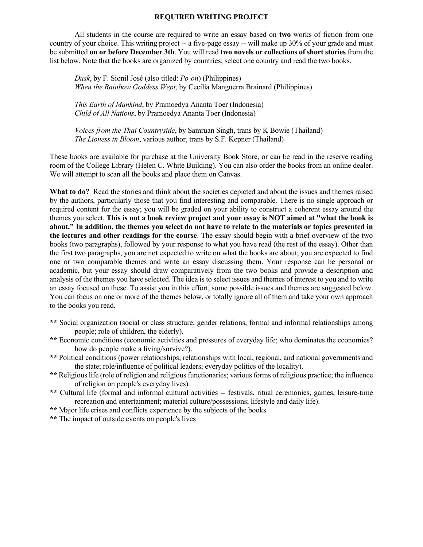#### **REQUIRED WRITING PROJECT**

 All students in the course are required to write an essay based on **two** works of fiction from one country of your choice. This writing project -- a five-page essay -- will make up 30% of your grade and must be submitted **on or before December 3th**. You will read **two novels or collections of short stories** from the list below. Note that the books are organized by countries; select one country and read the two books.

 *Dusk*, by F. Sionil José (also titled: *Po-on*) (Philippines)  *When the Rainbow Goddess Wept*, by Cecilia Manguerra Brainard (Philippines)

 *This Earth of Mankind*, by Pramoedya Ananta Toer (Indonesia)  *Child of All Nations*, by Pramoedya Ananta Toer (Indonesia)

 *Voices from the Thai Countryside*, by Samruan Singh, trans by K Bowie (Thailand)  *The Lioness in Bloom*, various author, trans by S.F. Kepner (Thailand)

These books are available for purchase at the University Book Store, or can be read in the reserve reading room of the College Library (Helen C. White Building). You can also order the books from an online dealer. We will attempt to scan all the books and place them on Canvas.

**What to do?** Read the stories and think about the societies depicted and about the issues and themes raised by the authors, particularly those that you find interesting and comparable. There is no single approach or required content for the essay; you will be graded on your ability to construct a coherent essay around the themes you select. **This is not a book review project and your essay is NOT aimed at "what the book is about." In addition, the themes you select do not have to relate to the materials or topics presented in the lectures and other readings for the course**. The essay should begin with a brief overview of the two books (two paragraphs), followed by your response to what you have read (the rest of the essay). Other than the first two paragraphs, you are not expected to write on what the books are about; you are expected to find one or two comparable themes and write an essay discussing them. Your response can be personal or academic, but your essay should draw comparatively from the two books and provide a description and analysis of the themes you have selected. The idea is to select issues and themes of interest to you and to write an essay focused on these. To assist you in this effort, some possible issues and themes are suggested below. You can focus on one or more of the themes below, or totally ignore all of them and take your own approach to the books you read.

- **\*\*** Social organization (social or class structure, gender relations, formal and informal relationships among people; role of children, the elderly).
- **\*\*** Economic conditions (economic activities and pressures of everyday life; who dominates the economies? how do people make a living/survive?).
- **\*\*** Political conditions (power relationships; relationships with local, regional, and national governments and the state; role/influence of political leaders; everyday politics of the locality).
- **\*\*** Religious life (role of religion and religious functionaries; various forms of religious practice; the influence of religion on people's everyday lives).
- **\*\*** Cultural life (formal and informal cultural activities -- festivals, ritual ceremonies, games, leisure-time recreation and entertainment; material culture/possessions; lifestyle and daily life).
- **\*\*** Major life crises and conflicts experience by the subjects of the books.
- **\*\*** The impact of outside events on people's lives